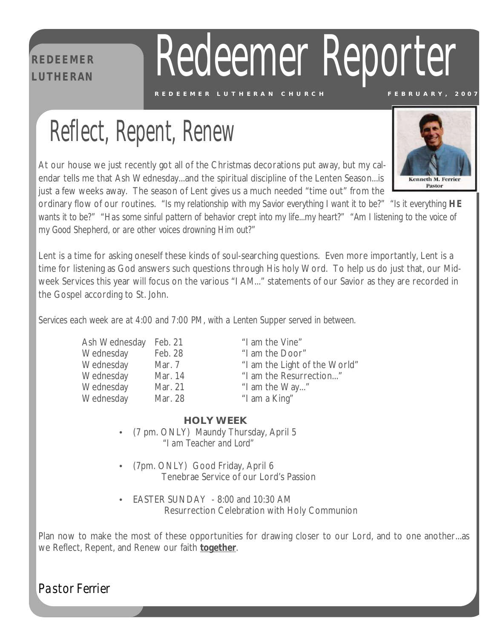**REDE E ME R** 

# Redeemer Redeemer Reporter

REDEEMER LUTHERAN CHURCH

### Reflect, Repent, Renew

At our house we just recently got all of the Christmas decorations put away, but my calendar tells me that Ash Wednesday...and the spiritual discipline of the Lenten Season...is just a few weeks away. The season of Lent gives us a much needed "time out" from the



ordinary flow of our routines. *"Is my relationship with my Savior everything I want it to be?" "Is it everything HE* wants it to be?" "Has some sinful pattern of behavior crept into my life...my heart?" "Am I listening to the voice of *my Good Shepherd, or are other voices drowning Him out?"*

Lent is a time for asking oneself these kinds of soul-searching questions. Even more importantly, Lent is a time for listening as God answers such questions through His holy Word. To help us do just that, our Midweek Services this year will focus on the various "I AM..." statements of our Savior as they are recorded in the Gospel according to St. John.

*Services each week are at 4:00 and 7:00 PM, with a Lenten Supper served in between.*

| Ash Wednesday | Feb. 2 |
|---------------|--------|
| Wednesday     | Feb. 2 |
| Wednesday     | Mar. 7 |
| Wednesday     | Mar. 1 |
| Wednesday     | Mar. 2 |
| Wednesday     | Mar. 2 |
|               |        |

 $\mathbb{R}$  1 am the Vine" 8 "I am the Door" 7 The Martin March 1 am the Light of the World" 14 The Resurrection..."  $21$   $\blacksquare$  am the Way..." 28 "I am a King"

#### **HOLY WEEK**

- (7 pm. ONLY) Maundy Thursday, April 5  *"I am Teacher and Lord"*
- (7pm. ONLY) Good Friday, April 6 Tenebrae Service of our Lord's Passion
- EASTER SUNDAY 8:00 and 10:30 AM Resurrection Celebration with Holy Communion

Plan now to make the most of these opportunities for drawing closer to our Lord, and to one another...as we Reflect, Repent, and Renew our faith *together*.

*Pastor Ferrier*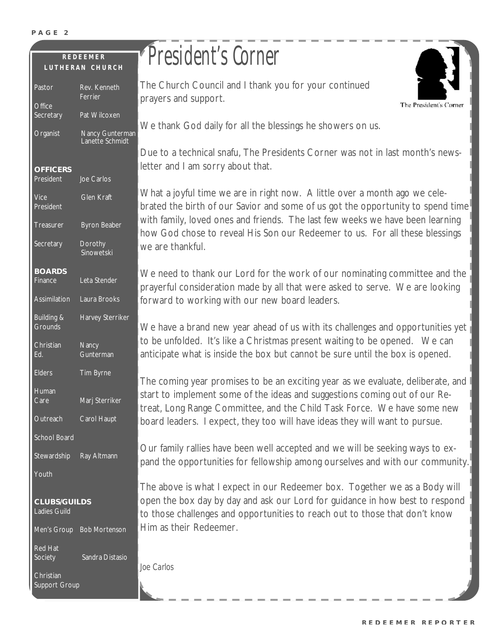#### **R E D E E M E R L U T H E R A N C H U R C H**

| Pastor                                     | Rev. Kenneth<br>Ferrier            |
|--------------------------------------------|------------------------------------|
| Office<br>Secretary                        | Pat Wilcoxen                       |
| Organist                                   | Nancy Gunterman<br>Lanette Schmidt |
| <b>OFFICERS</b><br>President               | Joe Carlos                         |
| Vice<br>President                          | <b>Glen Kraft</b>                  |
| Treasurer                                  | <b>Byron Beaber</b>                |
| <b>Secretary</b>                           | Dorothy<br>Sinowetski              |
| <b>BOARDS</b><br>Finance                   | Leta Stender                       |
| <b>Assimilation</b>                        | Laura Brooks                       |
| Building &<br>Grounds                      | Harvey Sterriker                   |
| Christian<br>Ed.                           | <b>Nancy</b><br>Gunterman          |
| <b>Elders</b>                              | Tim Byrne                          |
| Human<br>Care                              | Marj Sterriker                     |
| Outreach                                   | Carol Haupt                        |
| <b>School Board</b>                        |                                    |
| Stewardship Ray Altmann                    |                                    |
| $\overline{Y}$ outh                        |                                    |
| <b>CLUBS/GUILDS</b><br><b>Ladies Guild</b> |                                    |
|                                            | Men's Group Bob Mortenson          |
| <b>Red Hat</b><br>Society                  | Sandra Distasio                    |
| Christian<br>Support Group                 |                                    |

### President's Corner

The Church Council and I thank you for your continued prayers and support.



We thank God daily for all the blessings he showers on us.

Due to a technical snafu, The Presidents Corner was not in last month's newsletter and I am sorry about that.

What a joyful time we are in right now. A little over a month ago we celebrated the birth of our Savior and some of us got the opportunity to spend time<sup>1</sup> with family, loved ones and friends. The last few weeks we have been learning how God chose to reveal His Son our Redeemer to us. For all these blessings we are thankful.

We need to thank our Lord for the work of our nominating committee and the prayerful consideration made by all that were asked to serve. We are looking forward to working with our new board leaders.

We have a brand new year ahead of us with its challenges and opportunities yet to be unfolded. It's like a Christmas present waiting to be opened. We can anticipate what is inside the box but cannot be sure until the box is opened.

The coming year promises to be an exciting year as we evaluate, deliberate, and start to implement some of the ideas and suggestions coming out of our Retreat, Long Range Committee, and the Child Task Force. We have some new board leaders. I expect, they too will have ideas they will want to pursue.

Our family rallies have been well accepted and we will be seeking ways to expand the opportunities for fellowship among ourselves and with our community.

The above is what I expect in our Redeemer box. Together we as a Body will open the box day by day and ask our Lord for guidance in how best to respond to those challenges and opportunities to reach out to those that don't know Him as their Redeemer.

*Joe Carlos*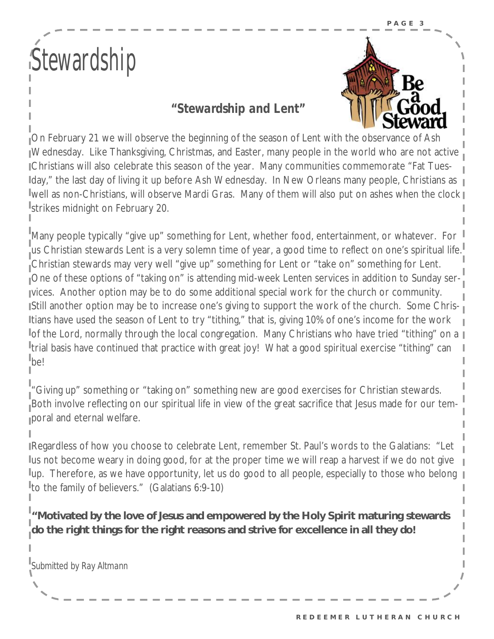# **Stewardship**

### *"Stewardship and Lent"*



**P A G E 3** 

On February 21 we will observe the beginning of the season of Lent with the observance of Ash Wednesday. Like Thanksgiving, Christmas, and Easter, many people in the world who are not active Christians will also celebrate this season of the year. Many communities commemorate "Fat Tueslday," the last day of living it up before Ash Wednesday. In New Orleans many people, Christians as well as non-Christians, will observe Mardi Gras. Many of them will also put on ashes when the clock strikes midnight on February 20.

Many people typically "give up" something for Lent, whether food, entertainment, or whatever. For  $\pm$ us Christian stewards Lent is a very solemn time of year, a good time to reflect on one's spiritual life. Christian stewards may very well "give up" something for Lent or "take on" something for Lent. One of these options of "taking on" is attending mid-week Lenten services in addition to Sunday services. Another option may be to do some additional special work for the church or community. Still another option may be to increase one's giving to support the work of the church. Some Christians have used the season of Lent to try "tithing," that is, giving 10% of one's income for the work of the Lord, normally through the local congregation. Many Christians who have tried "tithing" on a trial basis have continued that practice with great joy! What a good spiritual exercise "tithing" can "be!

"Giving up" something or "taking on" something new are good exercises for Christian stewards. Both involve reflecting on our spiritual life in view of the great sacrifice that Jesus made for our temporal and eternal welfare.

Regardless of how you choose to celebrate Lent, remember St. Paul's words to the Galatians: "Let us not become weary in doing good, for at the proper time we will reap a harvest if we do not give up. Therefore, as we have opportunity, let us do good to all people, especially to those who belong to the family of believers." (Galatians 6:9-10)

**"Motivated by the love of Jesus and empowered by the Holy Spirit maturing stewards do the right things for the right reasons and strive for excellence in all they do!** 

*Submitted by Ray Altmann*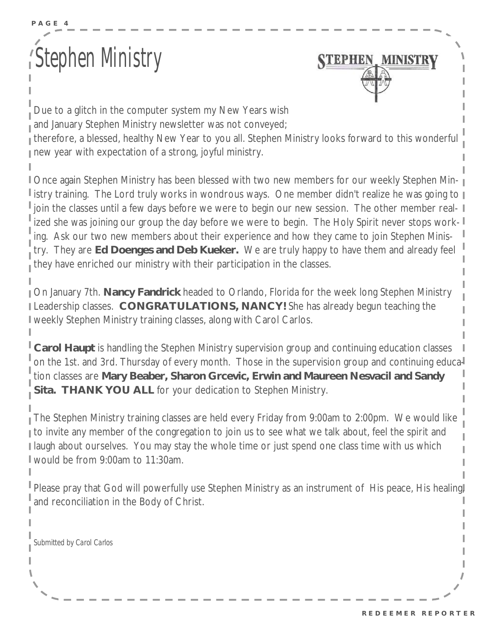# **Stephen Mnistry**

**P A G E 4** 

Due to a glitch in the computer system my New Years wish

and January Stephen Ministry newsletter was not conveyed;

therefore, a blessed, healthy New Year to you all. Stephen Ministry looks forward to this wonderful new year with expectation of a strong, joyful ministry.

**STEPHEN, MINISTR** 

Once again Stephen Ministry has been blessed with two new members for our weekly Stephen Min-I istry training. The Lord truly works in wondrous ways. One member didn't realize he was going to  $\parallel$ join the classes until a few days before we were to begin our new session. The other member real- I ized she was joining our group the day before we were to begin. The Holy Spirit never stops working. Ask our two new members about their experience and how they came to join Stephen Ministry. They are **Ed Doenges and Deb Kueker.**We are truly happy to have them and already feel they have enriched our ministry with their participation in the classes.

On January 7th. **Nancy Fandrick** headed to Orlando, Florida for the week long Stephen Ministry Leadership classes. **CONGRATULATIONS, NANCY!** She has already begun teaching the weekly Stephen Ministry training classes, along with Carol Carlos.

**Carol Haupt** is handling the Stephen Ministry supervision group and continuing education classes on the 1st. and 3rd. Thursday of every month. Those in the supervision group and continuing educa. tion classes are **Mary Beaber, Sharon Grcevic, Erwin and Maureen Nesvacil and Sandy Sita. THANK YOU ALL** for your dedication to Stephen Ministry.

The Stephen Ministry training classes are held every Friday from 9:00am to 2:00pm. We would like I to invite any member of the congregation to join us to see what we talk about, feel the spirit and I laugh about ourselves. You may stay the whole time or just spend one class time with us which would be from 9:00am to 11:30am.

Please pray that God will powerfully use Stephen Ministry as an instrument of His peace, His healing and reconciliation in the Body of Christ.

*Submitted by Carol Carlos* 

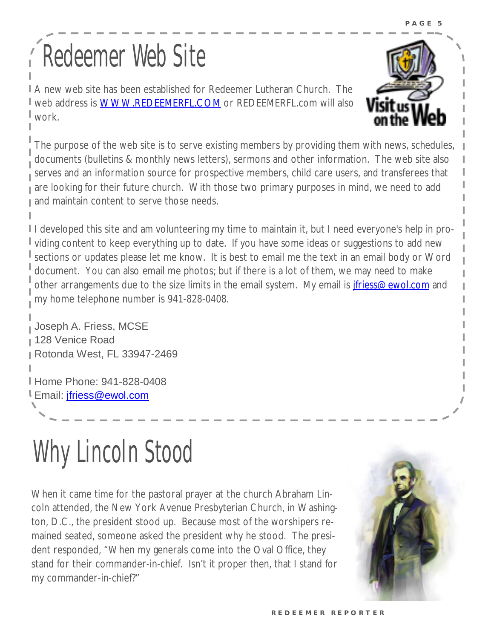# Redeemer Web Site

A new web site has been established for Redeemer Lutheran Church. The web address is **[WWW.REDEEMERFL.COM](http://www.REDEEMERFL.COM)** or REDEEMERFL.com will also work.



The purpose of the web site is to serve existing members by providing them with news, schedules, documents (bulletins & monthly news letters), sermons and other information. The web site also serves and an information source for prospective members, child care users, and transferees that are looking for their future church. With those two primary purposes in mind, we need to add **and maintain content to serve those needs.** 

I developed this site and am volunteering my time to maintain it, but I need everyone's help in providing content to keep everything up to date. If you have some ideas or suggestions to add new sections or updates please let me know. It is best to email me the text in an email body or Word document. You can also email me photos; but if there is a lot of them, we may need to make other arrangements due to the size limits in the email system. My email is *[jfriess@ewol.com](mailto:jfriess@ewol.com)* and my home telephone number is 941-828-0408.

Joseph A. Friess, MCSE 128 Venice Road Rotonda West, FL 33947-2469

Home Phone: 941-828-0408 **Email: [jfriess@ewol.com](mailto:jfriess@ewol.com)** 

### Why Lincoln Stood

When it came time for the pastoral prayer at the church Abraham Lincoln attended, the New York Avenue Presbyterian Church, in Washington, D.C., the president stood up. Because most of the worshipers remained seated, someone asked the president why he stood. The president responded, "When my generals come into the Oval Office, they stand for their commander-in-chief. Isn't it proper then, that I stand for my commander-in-chief?"

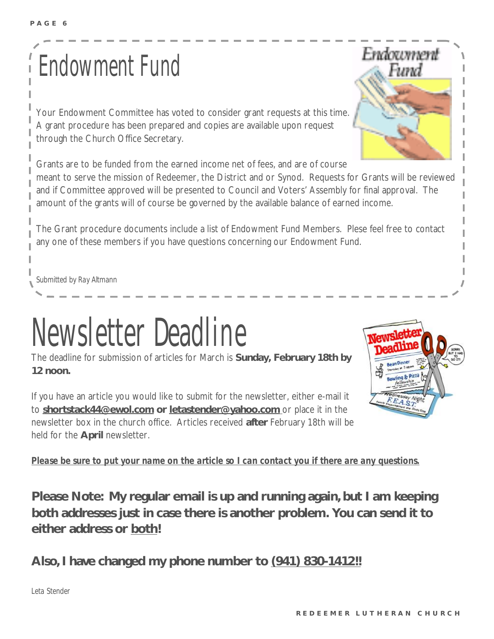# Endowment Fund

Your Endowment Committee has voted to consider grant requests at this time. A grant procedure has been prepared and copies are available upon request through the Church Office Secretary.

Grants are to be funded from the earned income net of fees, and are of course meant to serve the mission of Redeemer, the District and or Synod. Requests for Grants will be reviewed and if Committee approved will be presented to Council and Voters' Assembly for final approval. The amount of the grants will of course be governed by the available balance of earned income.

The Grant procedure documents include a list of Endowment Fund Members. Plese feel free to contact any one of these members if you have questions concerning our Endowment Fund.

*Submitted by Ray Altmann*

## Newsletter Deadline

The deadline for submission of articles for March is **Sunday, February 18th by 12 noon.** 

If you have an article you would like to submit for the newsletter, either e-mail it to **[shortstack44@ewol.com](mailto:shortstack44@ewol.com) or [letastender@yahoo.com](mailto:letastender@yahoo.com)** or place it in the newsletter box in the church office. Articles received **after** February 18th will be held for the **April** newsletter.

*Please be sure to put your name on the article so I can contact you if there are any questions.*

**Please Note: My regular email is up and running again, but I am keeping both addresses just in case there is another problem. You can send it to either address or both!** 

**Also, I have changed my phone number to (941) 830-1412!!**



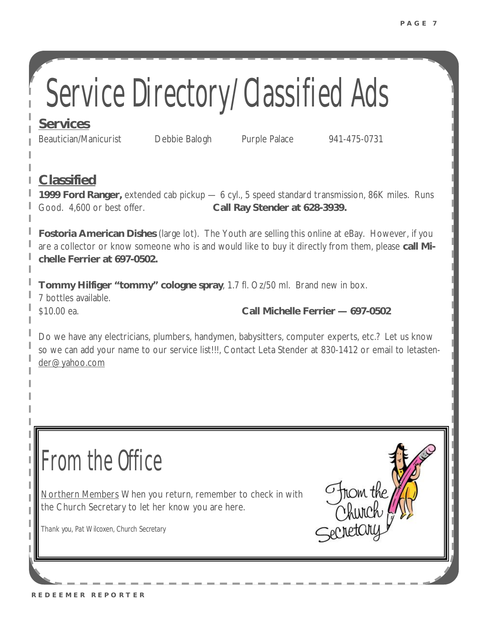# Service Directory/Classified Ads

#### **Services**

Beautician/Manicurist Debbie Balogh Purple Palace 941-475-0731

From the<br>Church

### **Classified**

**1999 Ford Ranger,** extended cab pickup — 6 cyl., 5 speed standard transmission, 86K miles. Runs Good. 4,600 or best offer. **Call Ray Stender at 628-3939.**

**Fostoria American Dishes** (large lot). The Youth are selling this online at eBay. However, if you are a collector or know someone who is and would like to buy it directly from them, please **call Michelle Ferrier at 697-0502.** 

**Tommy Hilfiger "tommy" cologne spray**, 1.7 fl. Oz/50 ml. Brand new in box. 7 bottles available. \$10.00 ea. **Call Michelle Ferrier — 697-0502**

Do we have any electricians, plumbers, handymen, babysitters, computer experts, etc.? Let us know so we can add your name to our service list!!!, Contact Leta Stender at 830-1412 or email to letasten[der@yahoo.com](mailto:der@yahoo.com)

### From the Office

Northern Members When you return, remember to check in with the Church Secretary to let her know you are here.

*Thank you, Pat Wilcoxen, Church Secretary*

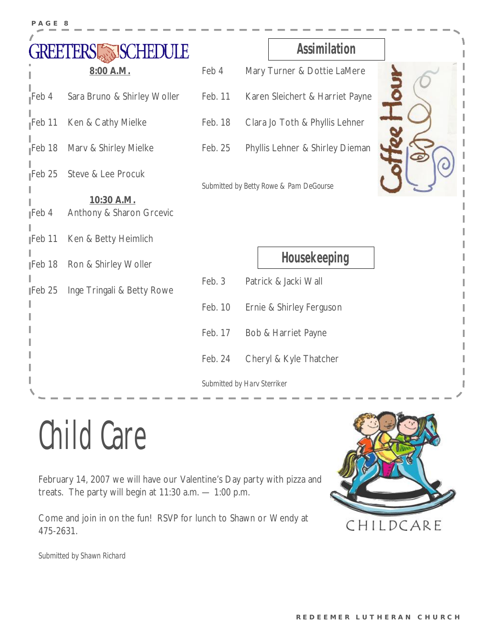|  | ×.<br>., |  |
|--|----------|--|
|  |          |  |

#### **GREETERSE** ISCHEDULE

*8:00 A.M.* 

| <u><b>U.UU A.IVI.</b></u>                           | 1 U.U T  |
|-----------------------------------------------------|----------|
| Feb 4 Sara Bruno & Shirley Woller                   | Feb. 11  |
| Feb 11 Ken & Cathy Mielke                           | Feb. 18  |
| Feb 18 Marv & Shirley Mielke                        | Feb. 25  |
| Feb 25 Steve & Lee Procuk                           | Submitte |
| <u>10:30 A.M.</u><br>Feb 4 Anthony & Sharon Grcevic |          |
| Feb 11 Ken & Betty Heimlich                         |          |
| Feb 18 Ron & Shirley Woller                         |          |
| <b>IFeb 25 Inge Tringali &amp; Betty Rowe</b>       | Feb. 3   |
|                                                     | Feb. 10  |
|                                                     | Feb. 17  |
|                                                     | Feb. 24  |
|                                                     | Submitte |

### **Assimilation**

Feb 4 Mary Turner & Dottie LaMere

1 Karen Sleichert & Harriet Payne

8 Clara Jo Toth & Phyllis Lehner

5 Phyllis Lehner & Shirley Dieman

*Submitted by Betty Rowe & Pam DeGourse* 



### **Housekeeping**

Patrick & Jacki Wall 0 Ernie & Shirley Ferguson 7 Bob & Harriet Payne 4 Cheryl & Kyle Thatcher **and by Harv Sterriker** 

# Child Care

February 14, 2007 we will have our Valentine's Day party with pizza and treats. The party will begin at 11:30 a.m. — 1:00 p.m.

Come and join in on the fun! RSVP for lunch to Shawn or Wendy at 475-2631.



*Submitted by Shawn Richard*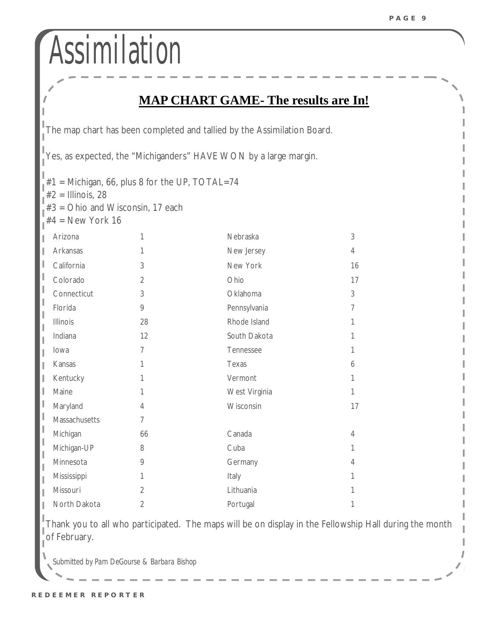# **Assimilation**

#### **MAP CHART GAME- The results are In!**

The map chart has been completed and tallied by the Assimilation Board.

Yes, as expected, the "Michiganders" HAVE WON by a large margin.

#1 = Michigan, 66, plus 8 for the UP, TOTAL=74

 $#2 =$  Illinois, 28

 $#3 =$  Ohio and Wisconsin, 17 each

 $#4 =$  New York 16

| Arizona         | 1              | Nebraska      | 3  |
|-----------------|----------------|---------------|----|
| Arkansas        | 1              | New Jersey    | 4  |
| California      | 3              | New York      | 16 |
| Colorado        | $\overline{2}$ | Ohio          | 17 |
| Connecticut     | 3              | Oklahoma      | 3  |
| Florida         | 9              | Pennsylvania  | 7  |
| <b>Illinois</b> | 28             | Rhode Island  | 1  |
| Indiana         | 12             | South Dakota  |    |
| lowa            | $\overline{7}$ | Tennessee     |    |
| Kansas          | 1              | Texas         | 6  |
| Kentucky        | 1              | Vermont       |    |
| Maine           | 1              | West Virginia | 1  |
| Maryland        | $\overline{4}$ | Wisconsin     | 17 |
| Massachusetts   | 7              |               |    |
| Michigan        | 66             | Canada        | 4  |
| Michigan-UP     | 8              | Cuba          | 1  |
| Minnesota       | 9              | Germany       | 4  |
| Mississippi     | 1              | Italy         |    |
| Missouri        | $\overline{2}$ | Lithuania     |    |
| North Dakota    | 2              | Portugal      |    |

Thank you to all who participated. The maps will be on display in the Fellowship Hall during the month of February.

 *Submitted by Pam DeGourse & Barbara Bishop*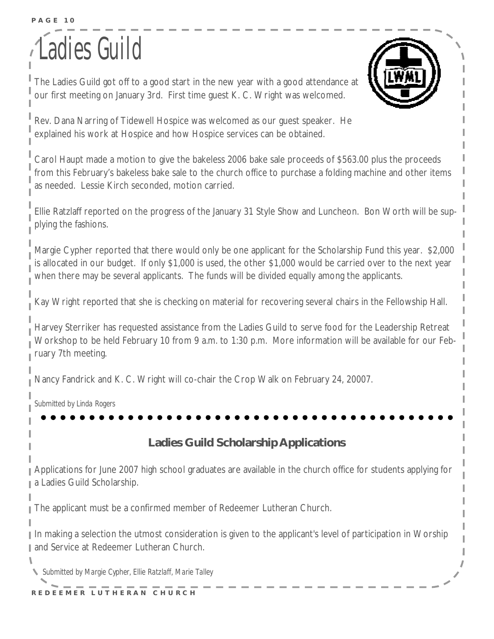### Ladies Guild

The Ladies Guild got off to a good start in the new year with a good attendance at our first meeting on January 3rd. First time guest K. C. Wright was welcomed.



Rev. Dana Narring of Tidewell Hospice was welcomed as our guest speaker. He explained his work at Hospice and how Hospice services can be obtained.

Carol Haupt made a motion to give the bakeless 2006 bake sale proceeds of \$563.00 plus the proceeds from this February's bakeless bake sale to the church office to purchase a folding machine and other items as needed. Lessie Kirch seconded, motion carried.

Ellie Ratzlaff reported on the progress of the January 31 Style Show and Luncheon. Bon Worth will be supplying the fashions.

Margie Cypher reported that there would only be one applicant for the Scholarship Fund this year. \$2,000 is allocated in our budget. If only \$1,000 is used, the other \$1,000 would be carried over to the next year when there may be several applicants. The funds will be divided equally among the applicants.

Kay Wright reported that she is checking on material for recovering several chairs in the Fellowship Hall.

Harvey Sterriker has requested assistance from the Ladies Guild to serve food for the Leadership Retreat Workshop to be held February 10 from 9 a.m. to 1:30 p.m. More information will be available for our February 7th meeting.

Nancy Fandrick and K. C. Wright will co-chair the Crop Walk on February 24, 20007.

*Submitted by Linda Rogers* 

### **Ladies Guild Scholarship Applications**

Applications for June 2007 high school graduates are available in the church office for students applying for a Ladies Guild Scholarship.

The applicant must be a confirmed member of Redeemer Lutheran Church.

In making a selection the utmost consideration is given to the applicant's level of participation in Worship and Service at Redeemer Lutheran Church.

*Submitted by Margie Cypher, Ellie Ratzlaff, Marie Talley*

**R E D E E M E R L U T H E R A N C H U R CH**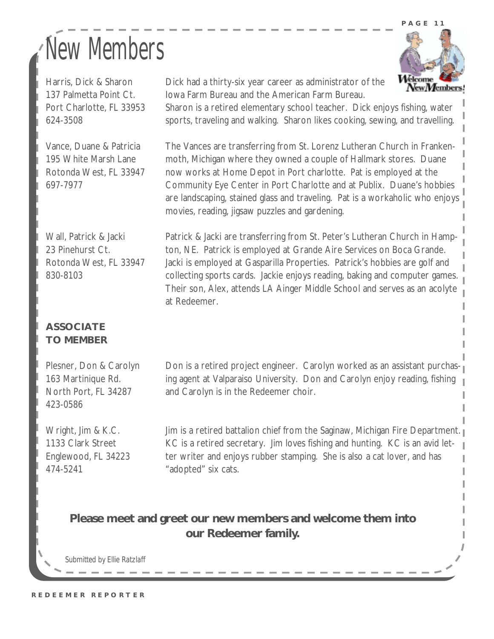### New Members

Harris, Dick & Sharon 137 Palmetta Point Ct. Port Charlotte, FL 33953 624-3508

Vance, Duane & Patricia 195 White Marsh Lane Rotonda West, FL 33947 697-7977

Dick had a thirty-six year career as administrator of the Iowa Farm Bureau and the American Farm Bureau.

Sharon is a retired elementary school teacher. Dick enjoys fishing, water sports, traveling and walking. Sharon likes cooking, sewing, and travelling.

The Vances are transferring from St. Lorenz Lutheran Church in Frankenmoth, Michigan where they owned a couple of Hallmark stores. Duane now works at Home Depot in Port charlotte. Pat is employed at the Community Eye Center in Port Charlotte and at Publix. Duane's hobbies are landscaping, stained glass and traveling. Pat is a workaholic who enjoys movies, reading, jigsaw puzzles and gardening.

Patrick & Jacki are transferring from St. Peter's Lutheran Church in Hampton, NE. Patrick is employed at Grande Aire Services on Boca Grande.

Wall, Patrick & Jacki 23 Pinehurst Ct. Rotonda West, FL 33947 830-8103

Jacki is employed at Gasparilla Properties. Patrick's hobbies are golf and collecting sports cards. Jackie enjoys reading, baking and computer games. Their son, Alex, attends LA Ainger Middle School and serves as an acolyte at Redeemer.

#### **ASSOCIATE TO MEMBER**

Plesner, Don & Carolyn 163 Martinique Rd. North Port, FL 34287 423-0586 Wright, Jim & K.C. 1133 Clark Street Englewood, FL 34223 474-5241 Don is a retired project engineer. Carolyn worked as an assistant purchasing agent at Valparaiso University. Don and Carolyn enjoy reading, fishing and Carolyn is in the Redeemer choir. Jim is a retired battalion chief from the Saginaw, Michigan Fire Department. KC is a retired secretary. Jim loves fishing and hunting. KC is an avid letter writer and enjoys rubber stamping. She is also a cat lover, and has "adopted" six cats.

**Please meet and greet our new members and welcome them into our Redeemer family.** 

*Submitted by Ellie Ratzlaff*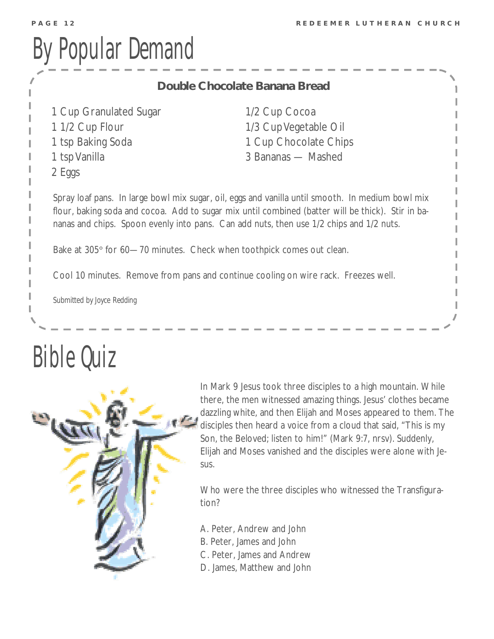

### Bible Quiz



In Mark 9 Jesus took three disciples to a high mountain. While there, the men witnessed amazing things. Jesus' clothes became dazzling white, and then Elijah and Moses appeared to them. The disciples then heard a voice from a cloud that said, "This is my Son, the Beloved; listen to him!" (Mark 9:7, nrsv). Suddenly, Elijah and Moses vanished and the disciples were alone with Jesus.

Who were the three disciples who witnessed the Transfiguration?

- A. Peter, Andrew and John
- B. Peter, James and John
- C. Peter, James and Andrew
- D. James, Matthew and John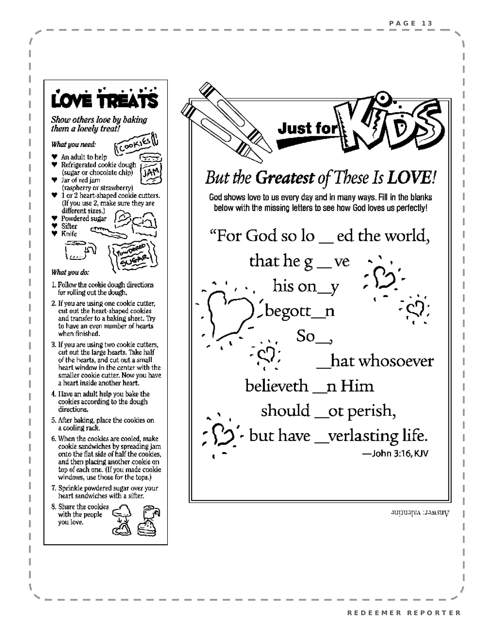



Answer: valentine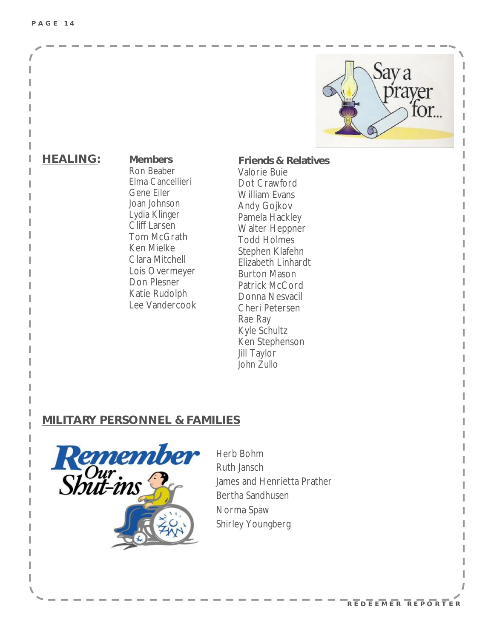

#### **HEALING: Members**

Ron Beaber Elma Cancellieri Gene Eiler Joan Johnson Lydia Klinger Cliff Larsen Tom McGrath Ken Mielke Clara Mitchell Lois Overmeyer Don Plesner Katie Rudolph Lee Vandercook **Friends & Relatives**  Valorie Buie Dot Crawford William Evans Andy Gojkov Pamela Hackley Walter Heppner Todd Holmes Stephen Klafehn Elizabeth Linhardt Burton Mason Patrick McCord Donna Nesvacil Cheri Petersen Rae Ray Kyle Schultz Ken Stephenson Jill Taylor John Zullo

#### **MILITARY PERSONNEL & FAMILIES**



Herb Bohm Ruth Jansch James and Henrietta Prather Bertha Sandhusen Norma Spaw Shirley Youngberg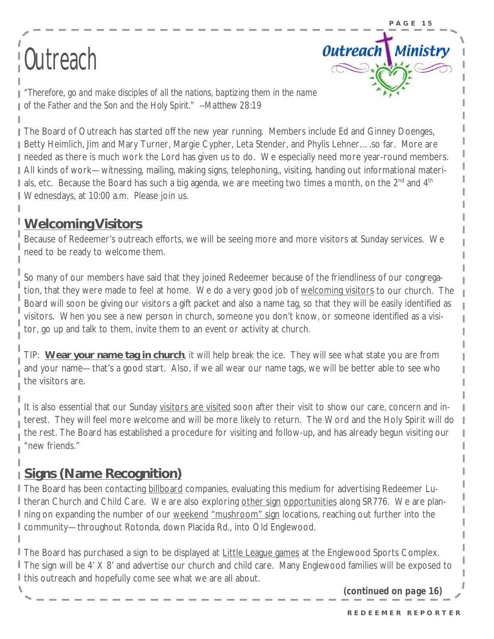# **Outreach**

**P A G E 15 Outreach** Ministr

*"Therefore, go and make disciples of all the nations, baptizing them in the name of the Father and the Son and the Holy Spirit." --Matthew 28:19* 

The Board of Outreach has started off the new year running. Members include Ed and Ginney Doenges, ■ Betty Heimlich, Jim and Mary Turner, Margie Cypher, Leta Stender, and Phylis Lehner….so far. More are I needed as there is much work the Lord has given us to do. We especially need more year-round members. All kinds of work—witnessing, mailing, making signs, telephoning,, visiting, handing out informational materi-I als, etc. Because the Board has such a big agenda, we are meeting two times a month, on the 2<sup>nd</sup> and 4<sup>th</sup> Wednesdays, at 10:00 a.m. Please join us.

### **WelcomingVisitors**

Because of Redeemer's outreach efforts, we will be seeing more and more visitors at Sunday services. We need to be ready to welcome them.

So many of our members have said that they joined Redeemer because of the friendliness of our congregation, that they were made to feel at home. We do a very good job of welcoming visitors to our church. The Board will soon be giving our visitors a gift packet and also a name tag, so that they will be easily identified as visitors. When you see a new person in church, someone you don't know, or someone identified as a visitor, go up and talk to them, invite them to an event or activity at church.

TIP: **Wear your name tag in church**, it will help break the ice. They will see what state you are from and your name—that's a good start. Also, if we all wear our name tags, we will be better able to see who the visitors are.

It is also essential that our Sunday visitors are visited soon after their visit to show our care, concern and interest. They will feel more welcome and will be more likely to return. The Word and the Holy Spirit will do the rest. The Board has established a procedure for visiting and follow-up, and has already begun visiting our "new friends."

### **Signs (Name Recognition)**

The Board has been contacting billboard companies, evaluating this medium for advertising Redeemer Lu-I theran Church and Child Care. We are also exploring other sign opportunities along SR776. We are plan-I ning on expanding the number of our weekend "mushroom" sign locations, reaching out further into the community—throughout Rotonda, down Placida Rd., into Old Englewood.

The Board has purchased a sign to be displayed at Little League games at the Englewood Sports Complex. The sign will be 4' X 8' and advertise our church and child care. Many Englewood families will be exposed to I this outreach and hopefully come see what we are all about.

*(continued on page 16)*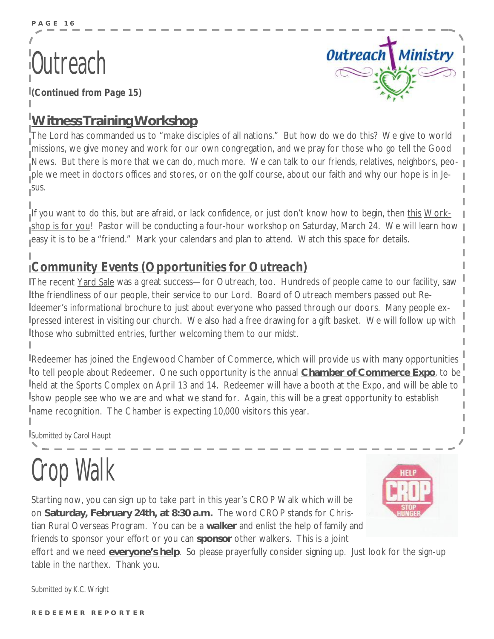# **Jutreach**

**P A G E 16** 



*(Continued from Page 15)*

### **WitnessTrainingWorkshop**

The Lord has commanded us to "make disciples of all nations." But how do we do this? We give to world missions, we give money and work for our own congregation, and we pray for those who go tell the Good News. But there is more that we can do, much more. We can talk to our friends, relatives, neighbors, people we meet in doctors offices and stores, or on the golf course, about our faith and why our hope is in Jesus.

If you want to do this, but are afraid, or lack confidence, or just don't know how to begin, then this Workshop is for you! Pastor will be conducting a four-hour workshop on Saturday, March 24. We will learn how easy it is to be a "friend." Mark your calendars and plan to attend. Watch this space for details.

### *Community Events (Opportunities for Outreach)*

The recent Yard Sale was a great success—for Outreach, too. Hundreds of people came to our facility, saw the friendliness of our people, their service to our Lord. Board of Outreach members passed out Redeemer's informational brochure to just about everyone who passed through our doors. Many people expressed interest in visiting our church. We also had a free drawing for a gift basket. We will follow up with those who submitted entries, further welcoming them to our midst.

Redeemer has joined the Englewood Chamber of Commerce, which will provide us with many opportunities to tell people about Redeemer. One such opportunity is the annual **Chamber of Commerce Expo**, to be held at the Sports Complex on April 13 and 14. Redeemer will have a booth at the Expo, and will be able to show people see who we are and what we stand for. Again, this will be a great opportunity to establish name recognition. The Chamber is expecting 10,000 visitors this year.

*Submitted by Carol Haupt* 



Starting now, you can sign up to take part in this year's CROP Walk which will be on **Saturday, February 24th, at 8:30 a.m.** The word CROP stands for Christian Rural Overseas Program. You can be a **walker** and enlist the help of family and friends to sponsor your effort or you can **sponsor** other walkers. This is a joint

effort and we need **everyone's help**. So please prayerfully consider signing up. Just look for the sign-up table in the narthex. Thank you.

*Submitted by K.C. Wright*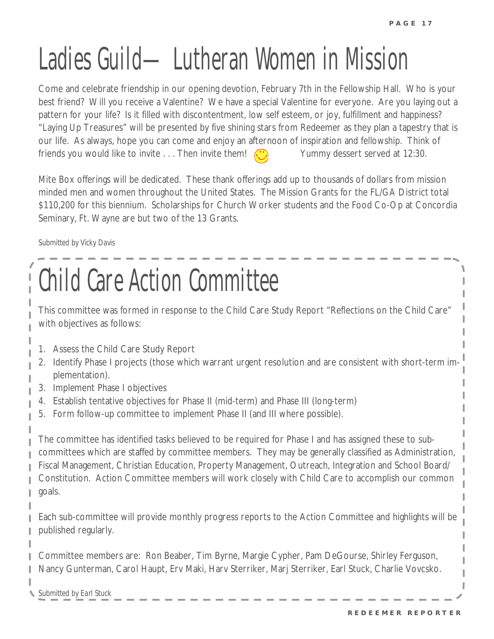### Ladies Guild—Lutheran Women in Mssion

Come and celebrate friendship in our opening devotion, February 7th in the Fellowship Hall. Who is your best friend? Will you receive a Valentine? We have a special Valentine for everyone. Are you laying out a pattern for your life? Is it filled with discontentment, low self esteem, or joy, fulfillment and happiness? "Laying Up Treasures" will be presented by five shining stars from Redeemer as they plan a tapestry that is our life. As always, hope you can come and enjoy an afternoon of inspiration and fellowship. Think of friends you would like to invite ... Then invite them!  $\langle \cdot \rangle$  Yummy dessert served at 12:30.

Mite Box offerings will be dedicated. These thank offerings add up to thousands of dollars from mission minded men and women throughout the United States. The Mission Grants for the FL/GA District total \$110,200 for this biennium. Scholarships for Church Worker students and the Food Co-Op at Concordia Seminary, Ft. Wayne are but two of the 13 Grants.

#### *Submitted by Vicky Davis*

# Child Care Action Committee

This committee was formed in response to the Child Care Study Report "Reflections on the Child Care" with objectives as follows:

- 1. Assess the Child Care Study Report
- 2. Identify Phase I projects (those which warrant urgent resolution and are consistent with short-term implementation).
- 3. Implement Phase I objectives
- 4. Establish tentative objectives for Phase II (mid-term) and Phase III (long-term)
- 5. Form follow-up committee to implement Phase II (and III where possible).

The committee has identified tasks believed to be required for Phase I and has assigned these to subcommittees which are staffed by committee members. They may be generally classified as Administration, Fiscal Management, Christian Education, Property Management, Outreach, Integration and School Board/ Constitution. Action Committee members will work closely with Child Care to accomplish our common goals.

Each sub-committee will provide monthly progress reports to the Action Committee and highlights will be published regularly.

Committee members are: Ron Beaber, Tim Byrne, Margie Cypher, Pam DeGourse, Shirley Ferguson, Nancy Gunterman, Carol Haupt, Erv Maki, Harv Sterriker, Marj Sterriker, Earl Stuck, Charlie Vovcsko.

*Submitted by Earl Stuck*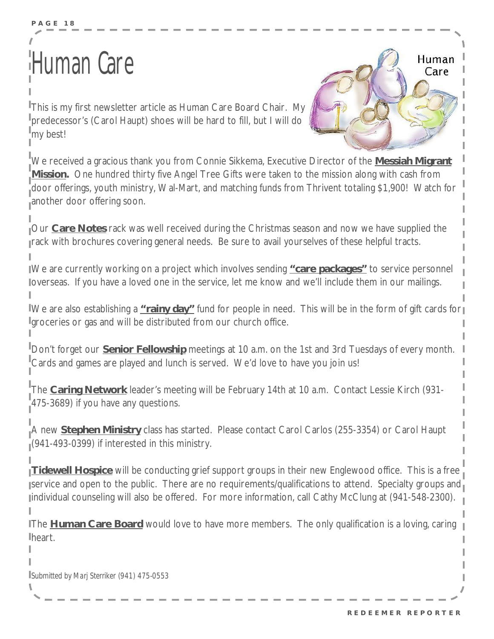# Human Care

**P A G E 18** 

This is my first newsletter article as Human Care Board Chair. My predecessor's (Carol Haupt) shoes will be hard to fill, but I will do my best!



We received a gracious thank you from Connie Sikkema, Executive Director of the **Messiah Migrant Mission.** One hundred thirty five Angel Tree Gifts were taken to the mission along with cash from door offerings, youth ministry, Wal-Mart, and matching funds from Thrivent totaling \$1,900! Watch for another door offering soon.

Our **Care Notes** rack was well received during the Christmas season and now we have supplied the rack with brochures covering general needs. Be sure to avail yourselves of these helpful tracts.

We are currently working on a project which involves sending **"care packages"** to service personnel loverseas. If you have a loved one in the service, let me know and we'll include them in our mailings.

We are also establishing a **"rainy day"** fund for people in need. This will be in the form of gift cards for groceries or gas and will be distributed from our church office.

Don't forget our **Senior Fellowship** meetings at 10 a.m. on the 1st and 3rd Tuesdays of every month. Cards and games are played and lunch is served. We'd love to have you join us!

The **Caring Network** leader's meeting will be February 14th at 10 a.m. Contact Lessie Kirch (931- 475-3689) if you have any questions.

A new **Stephen Ministry** class has started. Please contact Carol Carlos (255-3354) or Carol Haupt (941-493-0399) if interested in this ministry.

**Tidewell Hospice** will be conducting grief support groups in their new Englewood office. This is a free **Service and open to the public. There are no requirements/qualifications to attend. Specialty groups and** individual counseling will also be offered. For more information, call Cathy McClung at (941-548-2300).

The **Human Care Board** would love to have more members. The only qualification is a loving, caring heart.

*Submitted by Marj Sterriker (941) 475-0553*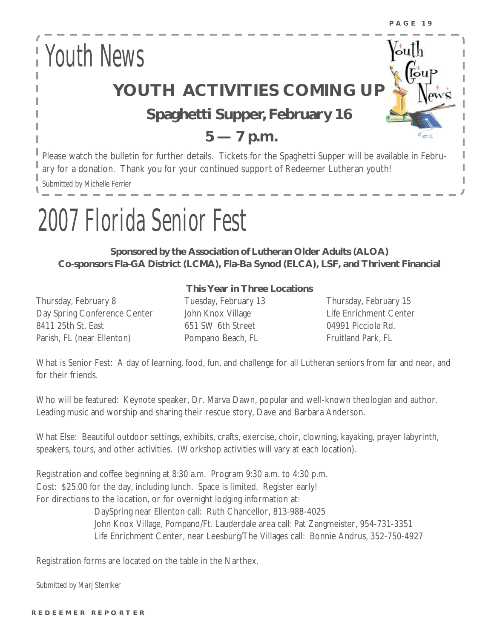### Youth News oul h **YOUTH ACTIVITIES COMING UP Spaghetti Supper, February 16**   $5 - 7$  p.m. Please watch the bulletin for further details. Tickets for the Spaghetti Supper will be available in February for a donation. Thank you for your continued support of Redeemer Lutheran youth!

*Submitted by Michelle Ferrier* 

### 2007 Florida Senior Fest

**Sponsored by the Association of Lutheran Older Adults (ALOA) Co-sponsors Fla-GA District (LCMA), Fla-Ba Synod (ELCA), LSF, and Thrivent Financial** 

Thursday, February 8 Tuesday, February 13 Thursday, February 15 Day Spring Conference Center John Knox Village Life Enrichment Center 8411 25th St. East 651 SW 6th Street 64991 Picciola Rd. Parish, FL (near Ellenton) Pompano Beach, FL Fruitland Park, FL

**This Year in Three Locations** 

What is Senior Fest: A day of learning, food, fun, and challenge for all Lutheran seniors from far and near, and for their friends.

Who will be featured: Keynote speaker, Dr. Marva Dawn, popular and well-known theologian and author. Leading music and worship and sharing their rescue story, Dave and Barbara Anderson.

What Else: Beautiful outdoor settings, exhibits, crafts, exercise, choir, clowning, kayaking, prayer labyrinth, speakers, tours, and other activities. (Workshop activities will vary at each location).

Registration and coffee beginning at 8:30 a.m. Program 9:30 a.m. to 4:30 p.m. Cost: \$25.00 for the day, including lunch. Space is limited. Register early! For directions to the location, or for overnight lodging information at: DaySpring near Ellenton call: Ruth Chancellor, 813-988-4025 John Knox Village, Pompano/Ft. Lauderdale area call: Pat Zangmeister, 954-731-3351

Life Enrichment Center, near Leesburg/The Villages call: Bonnie Andrus, 352-750-4927

Registration forms are located on the table in the Narthex.

*Submitted by Marj Sterriker*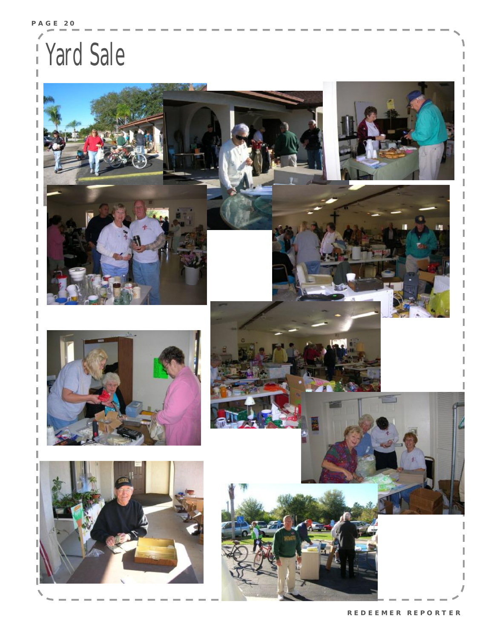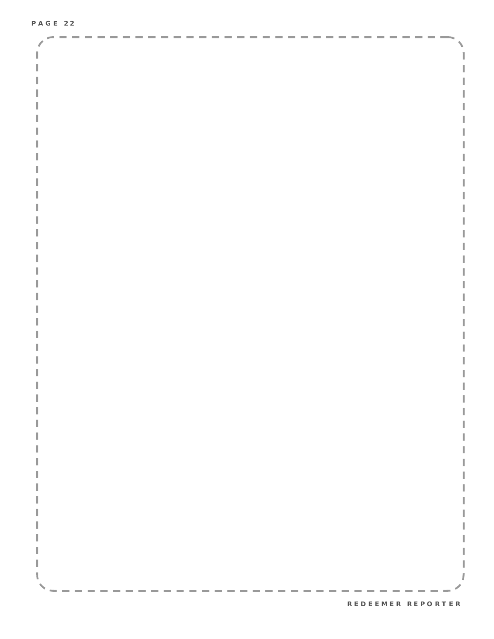